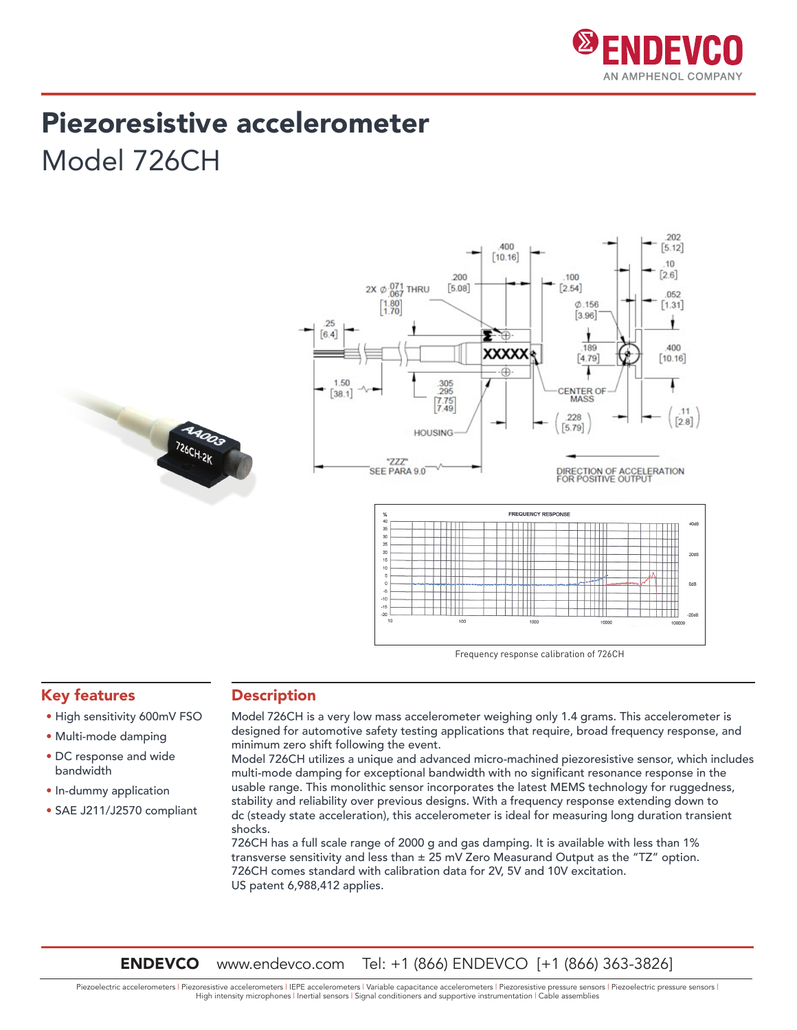

202

## Piezoresistive accelerometer Model 726CH



Frequency response calibration of 726CH

#### Key features

- High sensitivity 600mV FSO
- Multi-mode damping
- DC response and wide bandwidth
- In-dummy application
- SAE J211/J2570 compliant

#### **Description**

Model 726CH is a very low mass accelerometer weighing only 1.4 grams. This accelerometer is designed for automotive safety testing applications that require, broad frequency response, and minimum zero shift following the event.

Model 726CH utilizes a unique and advanced micro-machined piezoresistive sensor, which includes multi-mode damping for exceptional bandwidth with no significant resonance response in the usable range. This monolithic sensor incorporates the latest MEMS technology for ruggedness, stability and reliability over previous designs. With a frequency response extending down to dc (steady state acceleration), this accelerometer is ideal for measuring long duration transient shocks.

726CH has a full scale range of 2000 g and gas damping. It is available with less than 1% transverse sensitivity and less than  $\pm 25$  mV Zero Measurand Output as the "TZ" option. 726CH comes standard with calibration data for 2V, 5V and 10V excitation. US patent 6,988,412 applies.

ENDEVCO www.endevco.com Tel: +1 (866) ENDEVCO [+1 (866) 363-3826]

Piezoelectric accelerometers | Piezoresistive accelerometers | IEPE accelerometers | Variable capacitance accelerometers | Piezoresistive pressure sensors | Piezoelectric pressure sensors | High intensity microphones | Inertial sensors | Signal conditioners and supportive instrumentation | Cable assemblies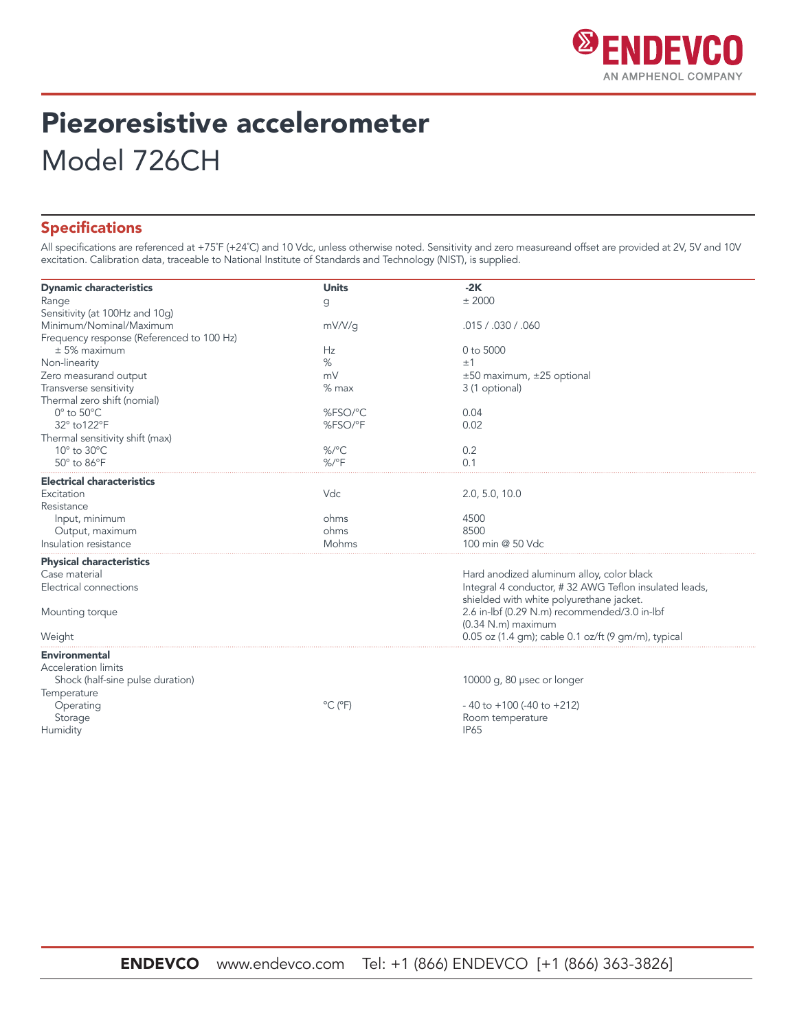

# Piezoresistive accelerometer Model 726CH

### Specifications

All specifications are referenced at +75˚F (+24˚C) and 10 Vdc, unless otherwise noted. Sensitivity and zero measureand offset are provided at 2V, 5V and 10V excitation. Calibration data, traceable to National Institute of Standards and Technology (NIST), is supplied.

| <b>Dynamic characteristics</b>            | <b>Units</b>                 | $-2K$                                                 |  |
|-------------------------------------------|------------------------------|-------------------------------------------------------|--|
| Range                                     | g                            | $±$ 2000                                              |  |
| Sensitivity (at 100Hz and 10q)            |                              |                                                       |  |
| Minimum/Nominal/Maximum                   | mV/V/q                       | .015 / .030 / .060                                    |  |
| Frequency response (Referenced to 100 Hz) |                              |                                                       |  |
| $± 5%$ maximum                            | Hz                           | 0 to 5000                                             |  |
| Non-linearity                             | %                            | ±1                                                    |  |
| Zero measurand output                     | mV                           | ±50 maximum, ±25 optional                             |  |
| Transverse sensitivity                    | $%$ max                      | 3 (1 optional)                                        |  |
| Thermal zero shift (nomial)               |                              |                                                       |  |
| $0^\circ$ to $50^\circ C$                 | %FSO/°C                      | 0.04                                                  |  |
| 32° to 122°F                              | %FSO/°F                      | 0.02                                                  |  |
| Thermal sensitivity shift (max)           |                              |                                                       |  |
| 10° to 30°C                               | $\frac{9}{6}$ <sup>o</sup> C | 0.2                                                   |  |
| 50° to 86°F                               | $%$ /°F                      | 0.1                                                   |  |
| <b>Electrical characteristics</b>         |                              |                                                       |  |
| Excitation                                | Vdc                          | 2.0, 5.0, 10.0                                        |  |
| Resistance                                |                              |                                                       |  |
| Input, minimum                            | ohms                         | 4500                                                  |  |
| Output, maximum                           | ohms                         | 8500                                                  |  |
| Insulation resistance                     | Mohms                        | 100 min @ 50 Vdc                                      |  |
| <b>Physical characteristics</b>           |                              |                                                       |  |
| Case material                             |                              | Hard anodized aluminum alloy, color black             |  |
| Electrical connections                    |                              | Integral 4 conductor, #32 AWG Teflon insulated leads, |  |
|                                           |                              | shielded with white polyurethane jacket.              |  |
| Mounting torque                           |                              | 2.6 in-lbf (0.29 N.m) recommended/3.0 in-lbf          |  |
|                                           |                              | $(0.34$ N.m) maximum                                  |  |
| Weight                                    |                              | 0.05 oz (1.4 qm); cable 0.1 oz/ft (9 qm/m), typical   |  |
| <b>Environmental</b>                      |                              |                                                       |  |
| <b>Acceleration limits</b>                |                              |                                                       |  |
| Shock (half-sine pulse duration)          |                              | 10000 g, 80 usec or longer                            |  |
| Temperature                               |                              |                                                       |  |
| Operating                                 | $^{\circ}$ C ( $^{\circ}$ F) | $-40$ to $+100$ (-40 to $+212$ )                      |  |
| Storage                                   |                              | Room temperature                                      |  |
| Humidity                                  |                              | <b>IP65</b>                                           |  |
|                                           |                              |                                                       |  |